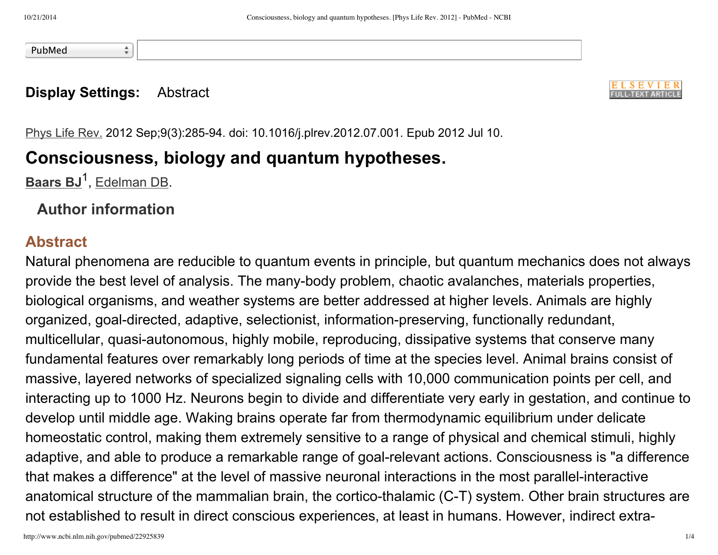PubMed

#### **Display Settings:** Abstract

÷



Phys Life Rev. 2012 Sep;9(3):285-94. doi: 10.1016/j.plrev.2012.07.001. Epub 2012 Jul 10.

# **Consciousness, biology and quantum hypotheses.**

**[Baars](http://www.ncbi.nlm.nih.gov/pubmed?term=Baars%20BJ%5BAuthor%5D&cauthor=true&cauthor_uid=22925839) BJ**<sup>1</sup>, [Edelman](http://www.ncbi.nlm.nih.gov/pubmed?term=Edelman%20DB%5BAuthor%5D&cauthor=true&cauthor_uid=22925839) DB.

#### **Author information**

### **Abstract**

Natural phenomena are reducible to quantum events in principle, but quantum mechanics does not always provide the best level of analysis. The many-body problem, chaotic avalanches, materials properties, biological organisms, and weather systems are better addressed at higher levels. Animals are highly organized, goal-directed, adaptive, selectionist, information-preserving, functionally redundant, multicellular, quasi-autonomous, highly mobile, reproducing, dissipative systems that conserve many fundamental features over remarkably long periods of time at the species level. Animal brains consist of massive, layered networks of specialized signaling cells with 10,000 communication points per cell, and interacting up to 1000 Hz. Neurons begin to divide and differentiate very early in gestation, and continue to develop until middle age. Waking brains operate far from thermodynamic equilibrium under delicate homeostatic control, making them extremely sensitive to a range of physical and chemical stimuli, highly adaptive, and able to produce a remarkable range of goal-relevant actions. Consciousness is "a difference that makes a difference" at the level of massive neuronal interactions in the most parallel-interactive anatomical structure of the mammalian brain, the cortico-thalamic (C-T) system. Other brain structures are not established to result in direct conscious experiences, at least in humans. However, indirect extra-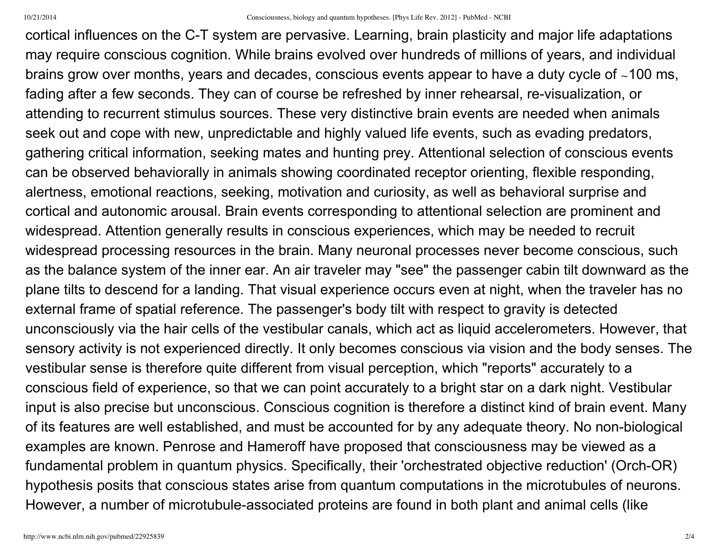cortical influences on the C-T system are pervasive. Learning, brain plasticity and major life adaptations may require conscious cognition. While brains evolved over hundreds of millions of years, and individual brains grow over months, years and decades, conscious events appear to have a duty cycle of ∼100 ms, fading after a few seconds. They can of course be refreshed by inner rehearsal, re-visualization, or attending to recurrent stimulus sources. These very distinctive brain events are needed when animals seek out and cope with new, unpredictable and highly valued life events, such as evading predators, gathering critical information, seeking mates and hunting prey. Attentional selection of conscious events can be observed behaviorally in animals showing coordinated receptor orienting, flexible responding, alertness, emotional reactions, seeking, motivation and curiosity, as well as behavioral surprise and cortical and autonomic arousal. Brain events corresponding to attentional selection are prominent and widespread. Attention generally results in conscious experiences, which may be needed to recruit widespread processing resources in the brain. Many neuronal processes never become conscious, such as the balance system of the inner ear. An air traveler may "see" the passenger cabin tilt downward as the plane tilts to descend for a landing. That visual experience occurs even at night, when the traveler has no external frame of spatial reference. The passenger's body tilt with respect to gravity is detected unconsciously via the hair cells of the vestibular canals, which act as liquid accelerometers. However, that sensory activity is not experienced directly. It only becomes conscious via vision and the body senses. The vestibular sense is therefore quite different from visual perception, which "reports" accurately to a conscious field of experience, so that we can point accurately to a bright star on a dark night. Vestibular input is also precise but unconscious. Conscious cognition is therefore a distinct kind of brain event. Many of its features are well established, and must be accounted for by any adequate theory. No non-biological examples are known. Penrose and Hameroff have proposed that consciousness may be viewed as a fundamental problem in quantum physics. Specifically, their 'orchestrated objective reduction' (Orch-OR) hypothesis posits that conscious states arise from quantum computations in the microtubules of neurons. However, a number of microtubule-associated proteins are found in both plant and animal cells (like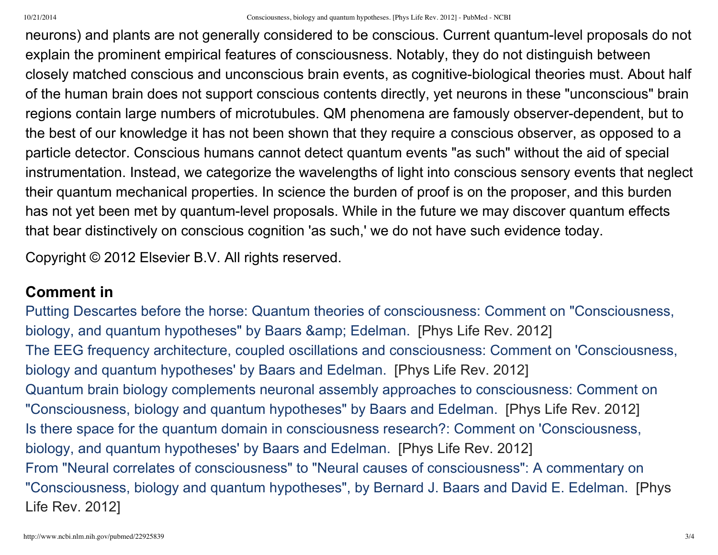neurons) and plants are not generally considered to be conscious. Current quantum-level proposals do not explain the prominent empirical features of consciousness. Notably, they do not distinguish between closely matched conscious and unconscious brain events, as cognitivebiological theories must. About half of the human brain does not support conscious contents directly, yet neurons in these "unconscious" brain regions contain large numbers of microtubules. QM phenomena are famously observer-dependent, but to the best of our knowledge it has not been shown that they require a conscious observer, as opposed to a particle detector. Conscious humans cannot detect quantum events "as such" without the aid of special instrumentation. Instead, we categorize the wavelengths of light into conscious sensory events that neglect their quantum mechanical properties. In science the burden of proof is on the proposer, and this burden has not yet been met by quantum-level proposals. While in the future we may discover quantum effects that bear distinctively on conscious cognition 'as such,' we do not have such evidence today.

Copyright © 2012 Elsevier B.V. All rights reserved.

### **Comment in**

Putting Descartes before the horse: Quantum theories of consciousness: Comment on ["Consciousness,](http://www.ncbi.nlm.nih.gov/pubmed/22831961) biology, and quantum hypotheses" by Baars & amp; Edelman. [Phys Life Rev. 2012] The EEG frequency architecture, coupled oscillations and consciousness: Comment on ['Consciousness,](http://www.ncbi.nlm.nih.gov/pubmed/22884935) biology and quantum hypotheses' by Baars and Edelman. [Phys Life Rev. 2012] Quantum brain biology complements neuronal assembly approaches to consciousness: Comment on ["Consciousness,](http://www.ncbi.nlm.nih.gov/pubmed/22795934) biology and quantum hypotheses" by Baars and Edelman. [Phys Life Rev. 2012] Is there space for the quantum domain in consciousness research?: Comment on ['Consciousness,](http://www.ncbi.nlm.nih.gov/pubmed/22819680) biology, and quantum hypotheses' by Baars and Edelman. [Phys Life Rev. 2012] From "Neural correlates of consciousness" to "Neural causes of consciousness": A commentary on ["Consciousness,](http://www.ncbi.nlm.nih.gov/pubmed/22831962) biology and quantum hypotheses", by Bernard J. Baars and David E. Edelman. [Phys Life Rev. 2012]